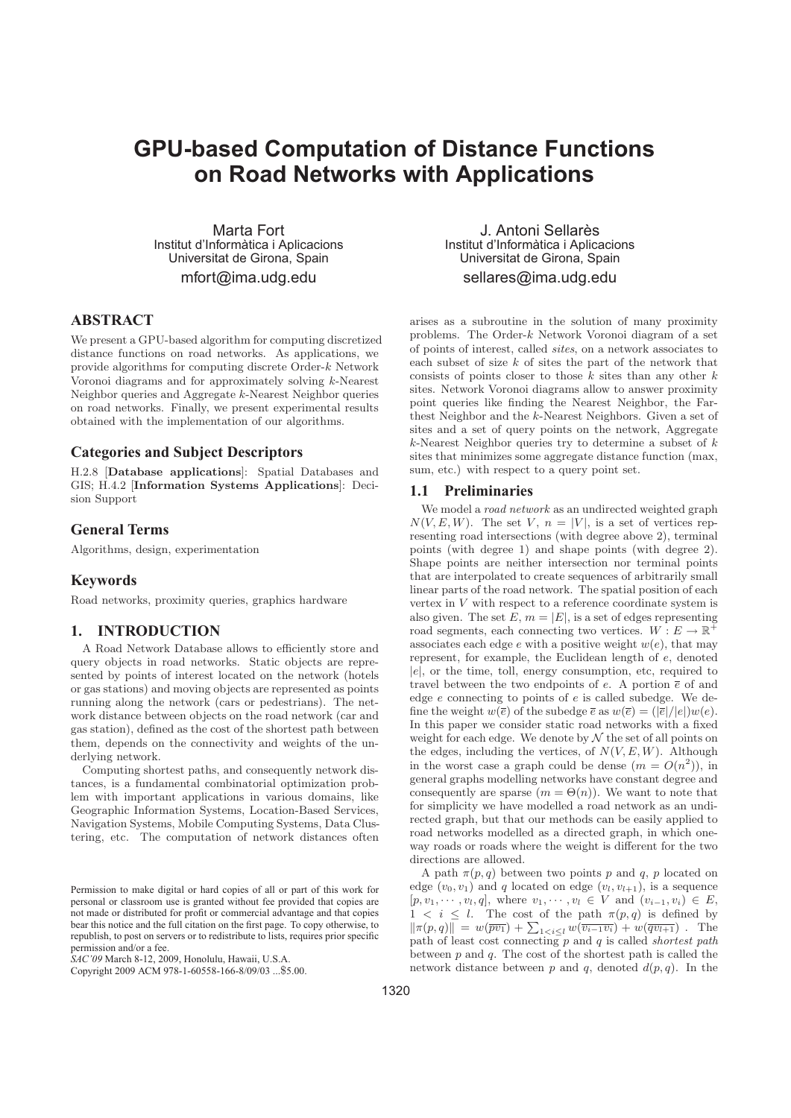# **GPU-based Computation of Distance Functions on Road Networks with Applications**

Marta Fort Institut d'Informàtica i Aplicacions Universitat de Girona, Spain mfort@ima.udg.edu

# **ABSTRACT**

We present a GPU-based algorithm for computing discretized distance functions on road networks. As applications, we provide algorithms for computing discrete Order-k Network Voronoi diagrams and for approximately solving k-Nearest Neighbor queries and Aggregate k-Nearest Neighbor queries on road networks. Finally, we present experimental results obtained with the implementation of our algorithms.

# **Categories and Subject Descriptors**

H.2.8 [Database applications]: Spatial Databases and GIS; H.4.2 [Information Systems Applications]: Decision Support

# **General Terms**

Algorithms, design, experimentation

## **Keywords**

Road networks, proximity queries, graphics hardware

# **1. INTRODUCTION**

A Road Network Database allows to efficiently store and query objects in road networks. Static objects are represented by points of interest located on the network (hotels or gas stations) and moving objects are represented as points running along the network (cars or pedestrians). The network distance between objects on the road network (car and gas station), defined as the cost of the shortest path between them, depends on the connectivity and weights of the underlying network.

Computing shortest paths, and consequently network distances, is a fundamental combinatorial optimization problem with important applications in various domains, like Geographic Information Systems, Location-Based Services, Navigation Systems, Mobile Computing Systems, Data Clustering, etc. The computation of network distances often

*SAC'09* March 8-12, 2009, Honolulu, Hawaii, U.S.A.

Copyright 2009 ACM 978-1-60558-166-8/09/03 ...\$5.00.

J. Antoni Sellarès Institut d'Informàtica i Aplicacions Universitat de Girona, Spain sellares@ima.udg.edu

arises as a subroutine in the solution of many proximity problems. The Order-k Network Voronoi diagram of a set of points of interest, called *sites*, on a network associates to each subset of size  $k$  of sites the part of the network that consists of points closer to those  $k$  sites than any other  $k$ sites. Network Voronoi diagrams allow to answer proximity point queries like finding the Nearest Neighbor, the Farthest Neighbor and the k-Nearest Neighbors. Given a set of sites and a set of query points on the network, Aggregate  $k$ -Nearest Neighbor queries try to determine a subset of  $k$ sites that minimizes some aggregate distance function (max, sum, etc.) with respect to a query point set.

# **1.1 Preliminaries**

We model a *road network* as an undirected weighted graph  $N(V, E, W)$ . The set V,  $n = |V|$ , is a set of vertices representing road intersections (with degree above 2), terminal points (with degree 1) and shape points (with degree 2). Shape points are neither intersection nor terminal points that are interpolated to create sequences of arbitrarily small linear parts of the road network. The spatial position of each vertex in V with respect to a reference coordinate system is also given. The set  $E, m = |E|$ , is a set of edges representing road segments, each connecting two vertices.  $W: E \to \mathbb{R}^+$ associates each edge  $e$  with a positive weight  $w(e)$ , that may represent, for example, the Euclidean length of e, denoted  $|e|$ , or the time, toll, energy consumption, etc, required to travel between the two endpoints of e. A portion  $\bar{e}$  of and edge e connecting to points of e is called subedge. We define the weight  $w(\overline{e})$  of the subedge  $\overline{e}$  as  $w(\overline{e}) = (|\overline{e}|/|e|)w(e)$ . In this paper we consider static road networks with a fixed weight for each edge. We denote by  $N$  the set of all points on the edges, including the vertices, of  $N(V, E, W)$ . Although in the worst case a graph could be dense  $(m = O(n^2))$ , in general graphs modelling networks have constant degree and consequently are sparse  $(m = \Theta(n))$ . We want to note that for simplicity we have modelled a road network as an undirected graph, but that our methods can be easily applied to road networks modelled as a directed graph, in which oneway roads or roads where the weight is different for the two directions are allowed.

A path  $\pi(p,q)$  between two points p and q, p located on edge  $(v_0, v_1)$  and q located on edge  $(v_l, v_{l+1})$ , is a sequence  $[p, v_1, \dots, v_l, q]$ , where  $v_1, \dots, v_l \in V$  and  $(v_{i-1}, v_i) \in E$ ,  $1 < i \leq l$ . The cost of the path  $\pi(p,q)$  is defined by  $\|\pi(p,q)\| = w(\overline{pv_1}) + \sum_{1 \leq i \leq l} w(\overline{v_{i-1}v_i}) + w(\overline{qv_{l+1}})$ . The path of least cost connecting p and q is called *shortest path* between  $p$  and  $q$ . The cost of the shortest path is called the network distance between p and q, denoted  $d(p, q)$ . In the

Permission to make digital or hard copies of all or part of this work for personal or classroom use is granted without fee provided that copies are not made or distributed for profit or commercial advantage and that copies bear this notice and the full citation on the first page. To copy otherwise, to republish, to post on servers or to redistribute to lists, requires prior specific permission and/or a fee.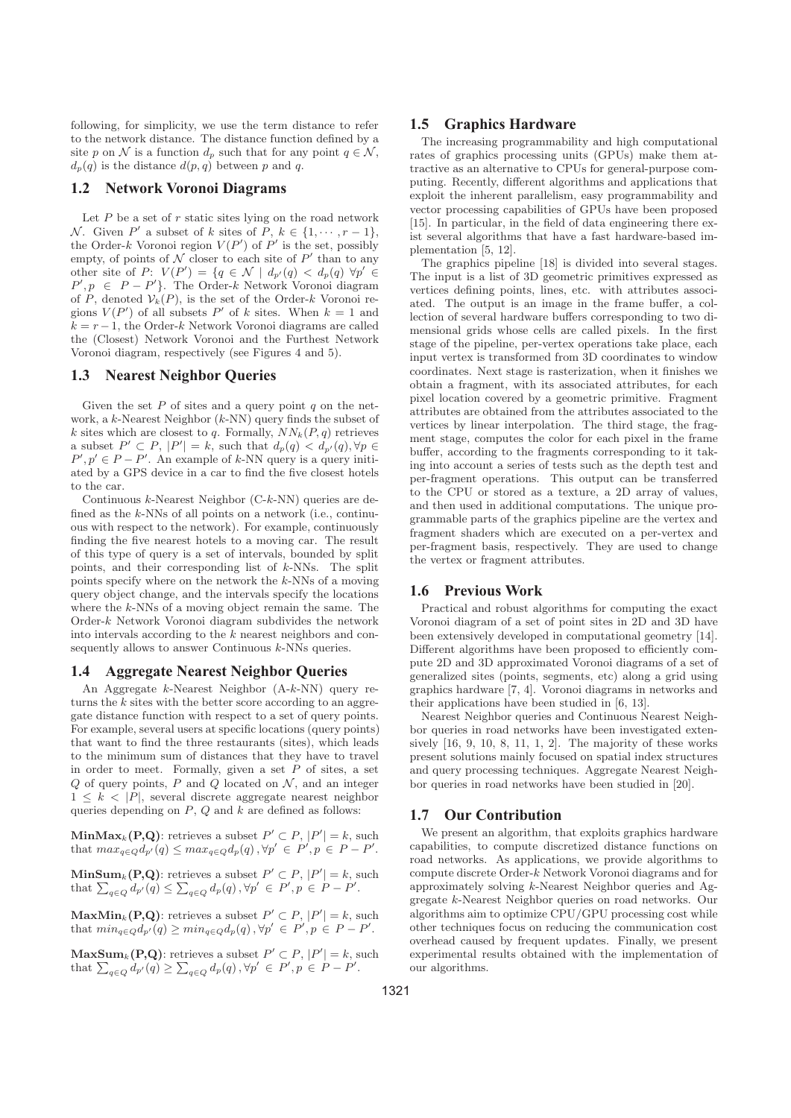following, for simplicity, we use the term distance to refer to the network distance. The distance function defined by a site p on N is a function  $d_p$  such that for any point  $q \in \mathcal{N}$ ,  $d_p(q)$  is the distance  $d(p,q)$  between p and q.

# **1.2 Network Voronoi Diagrams**

Let  $P$  be a set of  $r$  static sites lying on the road network N. Given P' a subset of k sites of P,  $k \in \{1, \dots, r-1\}$ , the Order-k Voronoi region  $V(P')$  of  $P'$  is the set, possibly empty, of points of  $N$  closer to each site of  $P'$  than to any other site of P:  $V(P') = \{q \in \mathcal{N} \mid d_{p'}(q) < d_p(q) \; \forall p' \in \mathcal{N} \}$  $P', p \in P - P'$ . The Order-k Network Voronoi diagram of  $P$ , denoted  $\mathcal{V}_k(P)$ , is the set of the Order-k Voronoi regions  $V(P')$  of all subsets P' of k sites. When  $k = 1$  and  $k = r - 1$ , the Order-k Network Voronoi diagrams are called the (Closest) Network Voronoi and the Furthest Network Voronoi diagram, respectively (see Figures 4 and 5).

#### **1.3 Nearest Neighbor Queries**

Given the set  $P$  of sites and a query point  $q$  on the network, a  $k$ -Nearest Neighbor  $(k$ -NN) query finds the subset of k sites which are closest to q. Formally,  $NN_k(P, q)$  retrieves a subset  $P' \subset P$ ,  $|P'| = k$ , such that  $d_p(q) < d_{p'}(q)$ ,  $\forall p \in \mathbb{R}$  $P', p' \in P - P'$ . An example of k-NN query is a query initiated by a GPS device in a car to find the five closest hotels to the car.

Continuous k-Nearest Neighbor (C-k-NN) queries are defined as the k-NNs of all points on a network (i.e., continuous with respect to the network). For example, continuously finding the five nearest hotels to a moving car. The result of this type of query is a set of intervals, bounded by split points, and their corresponding list of k-NNs. The split points specify where on the network the k-NNs of a moving query object change, and the intervals specify the locations where the  $k$ -NNs of a moving object remain the same. The Order-k Network Voronoi diagram subdivides the network into intervals according to the  $\check{k}$  nearest neighbors and consequently allows to answer Continuous  $k$ -NNs queries.

#### **1.4 Aggregate Nearest Neighbor Queries**

An Aggregate k-Nearest Neighbor (A-k-NN) query returns the  $k$  sites with the better score according to an aggregate distance function with respect to a set of query points. For example, several users at specific locations (query points) that want to find the three restaurants (sites), which leads to the minimum sum of distances that they have to travel in order to meet. Formally, given a set  $P$  of sites, a set  $Q$  of query points,  $P$  and  $Q$  located on  $N$ , and an integer  $1 \leq k \leq |P|$ , several discrete aggregate nearest neighbor queries depending on  $P$ ,  $Q$  and  $k$  are defined as follows:

**MinMax**<sub>k</sub>(P,Q): retrieves a subset  $P' \subset P$ ,  $|P'| = k$ , such that  $max_{q \in Q} d_{p'}(q) \leq max_{q \in Q} d_p(q)$ ,  $\forall p' \in P', p \in P - P'$ .

 $\text{MinSum}_k(P,Q)$ : retrieves a subset  $P' \subset P, |P'| = k$ , such that  $\sum_{q\in Q} d_{p'}(q) \leq \sum_{q\in Q} d_p(q)$ ,  $\forall p' \in P', p \in P - P'$ .

 $\text{MaxMin}_k(P,Q)$ : retrieves a subset  $P' \subset P, |P'| = k$ , such that  $\min_{q \in Q} d_{p'}(q) \geq \min_{q \in Q} d_p(q), \forall p' \in P', p \in P - P'.$ 

 $\text{MaxSum}_k(P,Q)$ : retrieves a subset  $P' \subset P, |P'| = k$ , such that  $\sum_{q \in Q} d_{p'}(q) \geq \sum_{q \in Q} d_p(q)$ ,  $\forall p' \in P', p \in P - P'$ .

## **1.5 Graphics Hardware**

The increasing programmability and high computational rates of graphics processing units (GPUs) make them attractive as an alternative to CPUs for general-purpose computing. Recently, different algorithms and applications that exploit the inherent parallelism, easy programmability and vector processing capabilities of GPUs have been proposed [15]. In particular, in the field of data engineering there exist several algorithms that have a fast hardware-based implementation [5, 12].

The graphics pipeline [18] is divided into several stages. The input is a list of 3D geometric primitives expressed as vertices defining points, lines, etc. with attributes associated. The output is an image in the frame buffer, a collection of several hardware buffers corresponding to two dimensional grids whose cells are called pixels. In the first stage of the pipeline, per-vertex operations take place, each input vertex is transformed from 3D coordinates to window coordinates. Next stage is rasterization, when it finishes we obtain a fragment, with its associated attributes, for each pixel location covered by a geometric primitive. Fragment attributes are obtained from the attributes associated to the vertices by linear interpolation. The third stage, the fragment stage, computes the color for each pixel in the frame buffer, according to the fragments corresponding to it taking into account a series of tests such as the depth test and per-fragment operations. This output can be transferred to the CPU or stored as a texture, a 2D array of values, and then used in additional computations. The unique programmable parts of the graphics pipeline are the vertex and fragment shaders which are executed on a per-vertex and per-fragment basis, respectively. They are used to change the vertex or fragment attributes.

#### **1.6 Previous Work**

Practical and robust algorithms for computing the exact Voronoi diagram of a set of point sites in 2D and 3D have been extensively developed in computational geometry [14]. Different algorithms have been proposed to efficiently compute 2D and 3D approximated Voronoi diagrams of a set of generalized sites (points, segments, etc) along a grid using graphics hardware [7, 4]. Voronoi diagrams in networks and their applications have been studied in [6, 13].

Nearest Neighbor queries and Continuous Nearest Neighbor queries in road networks have been investigated extensively  $[16, 9, 10, 8, 11, 1, 2]$ . The majority of these works present solutions mainly focused on spatial index structures and query processing techniques. Aggregate Nearest Neighbor queries in road networks have been studied in [20].

## **1.7 Our Contribution**

We present an algorithm, that exploits graphics hardware capabilities, to compute discretized distance functions on road networks. As applications, we provide algorithms to compute discrete Order-k Network Voronoi diagrams and for approximately solving k-Nearest Neighbor queries and Aggregate k-Nearest Neighbor queries on road networks. Our algorithms aim to optimize CPU/GPU processing cost while other techniques focus on reducing the communication cost overhead caused by frequent updates. Finally, we present experimental results obtained with the implementation of our algorithms.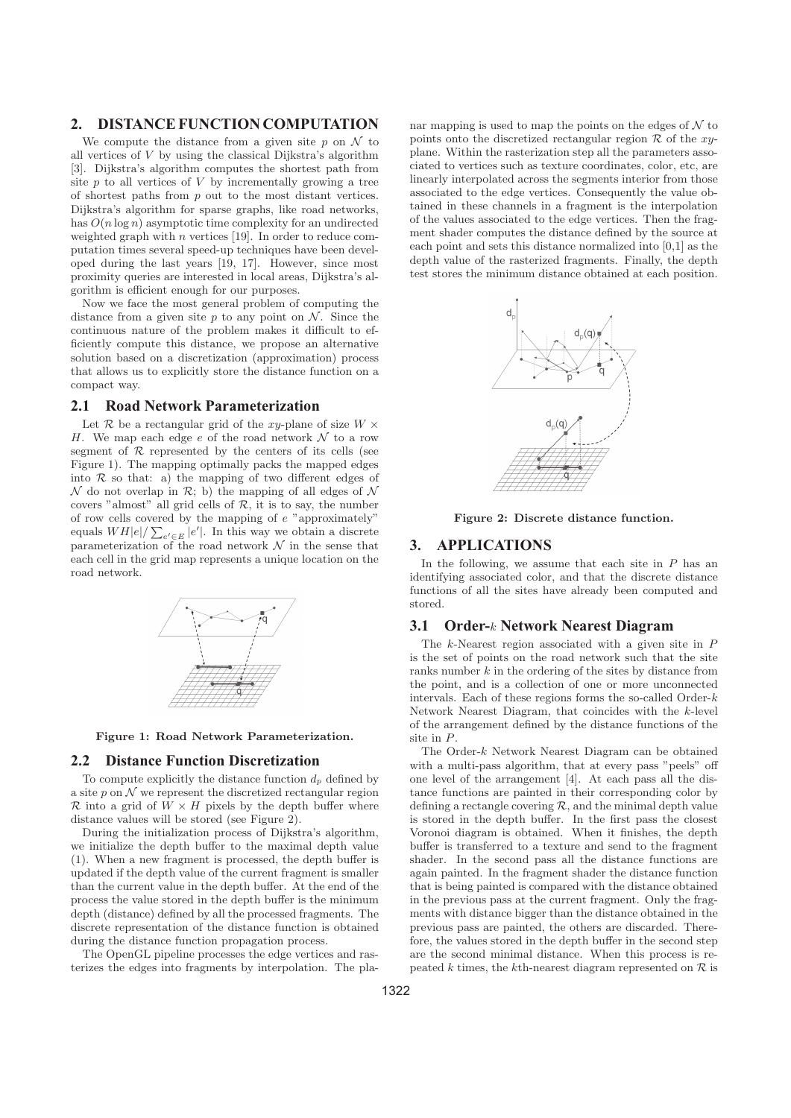# **2. DISTANCE FUNCTION COMPUTATION**

We compute the distance from a given site  $p$  on  $\mathcal N$  to all vertices of  $V$  by using the classical Dijkstra's algorithm [3]. Dijkstra's algorithm computes the shortest path from site  $p$  to all vertices of  $V$  by incrementally growing a tree of shortest paths from  $p$  out to the most distant vertices. Dijkstra's algorithm for sparse graphs, like road networks, has  $O(n \log n)$  asymptotic time complexity for an undirected weighted graph with  $n$  vertices [19]. In order to reduce computation times several speed-up techniques have been developed during the last years [19, 17]. However, since most proximity queries are interested in local areas, Dijkstra's algorithm is efficient enough for our purposes.

Now we face the most general problem of computing the distance from a given site p to any point on  $\mathcal N$ . Since the continuous nature of the problem makes it difficult to efficiently compute this distance, we propose an alternative solution based on a discretization (approximation) process that allows us to explicitly store the distance function on a compact way.

#### **2.1 Road Network Parameterization**

Let  $R$  be a rectangular grid of the xy-plane of size  $W \times$ H. We map each edge  $e$  of the road network  $\mathcal N$  to a row segment of  $R$  represented by the centers of its cells (see Figure 1). The mapping optimally packs the mapped edges into  $R$  so that: a) the mapping of two different edges of  $\mathcal N$  do not overlap in  $\mathcal R$ ; b) the mapping of all edges of  $\mathcal N$ covers "almost" all grid cells of  $R$ , it is to say, the number of row cells covered by the mapping of  $e$  "approximately" equals  $WH|e|/\sum_{e' \in E} |e'|$ . In this way we obtain a discrete parameterization of the road network  $\mathcal N$  in the sense that each cell in the grid map represents a unique location on the road network.



Figure 1: Road Network Parameterization.

# **2.2 Distance Function Discretization**

To compute explicitly the distance function  $d_n$  defined by a site  $p$  on  $N$  we represent the discretized rectangular region R into a grid of  $\hat{W} \times H$  pixels by the depth buffer where distance values will be stored (see Figure 2).

During the initialization process of Dijkstra's algorithm, we initialize the depth buffer to the maximal depth value (1). When a new fragment is processed, the depth buffer is updated if the depth value of the current fragment is smaller than the current value in the depth buffer. At the end of the process the value stored in the depth buffer is the minimum depth (distance) defined by all the processed fragments. The discrete representation of the distance function is obtained during the distance function propagation process.

The OpenGL pipeline processes the edge vertices and rasterizes the edges into fragments by interpolation. The planar mapping is used to map the points on the edges of  $\mathcal N$  to points onto the discretized rectangular region  $R$  of the xyplane. Within the rasterization step all the parameters associated to vertices such as texture coordinates, color, etc, are linearly interpolated across the segments interior from those associated to the edge vertices. Consequently the value obtained in these channels in a fragment is the interpolation of the values associated to the edge vertices. Then the fragment shader computes the distance defined by the source at each point and sets this distance normalized into [0,1] as the depth value of the rasterized fragments. Finally, the depth test stores the minimum distance obtained at each position.



Figure 2: Discrete distance function.

# **3. APPLICATIONS**

In the following, we assume that each site in  $P$  has an identifying associated color, and that the discrete distance functions of all the sites have already been computed and stored.

#### **3.1 Order-**k **Network Nearest Diagram**

The k-Nearest region associated with a given site in P is the set of points on the road network such that the site ranks number  $k$  in the ordering of the sites by distance from the point, and is a collection of one or more unconnected intervals. Each of these regions forms the so-called  $Order-k$ Network Nearest Diagram, that coincides with the k-level of the arrangement defined by the distance functions of the site in P.

The Order-k Network Nearest Diagram can be obtained with a multi-pass algorithm, that at every pass "peels" off one level of the arrangement [4]. At each pass all the distance functions are painted in their corresponding color by defining a rectangle covering  $R$ , and the minimal depth value is stored in the depth buffer. In the first pass the closest Voronoi diagram is obtained. When it finishes, the depth buffer is transferred to a texture and send to the fragment shader. In the second pass all the distance functions are again painted. In the fragment shader the distance function that is being painted is compared with the distance obtained in the previous pass at the current fragment. Only the fragments with distance bigger than the distance obtained in the previous pass are painted, the others are discarded. Therefore, the values stored in the depth buffer in the second step are the second minimal distance. When this process is repeated k times, the kth-nearest diagram represented on  $\mathcal R$  is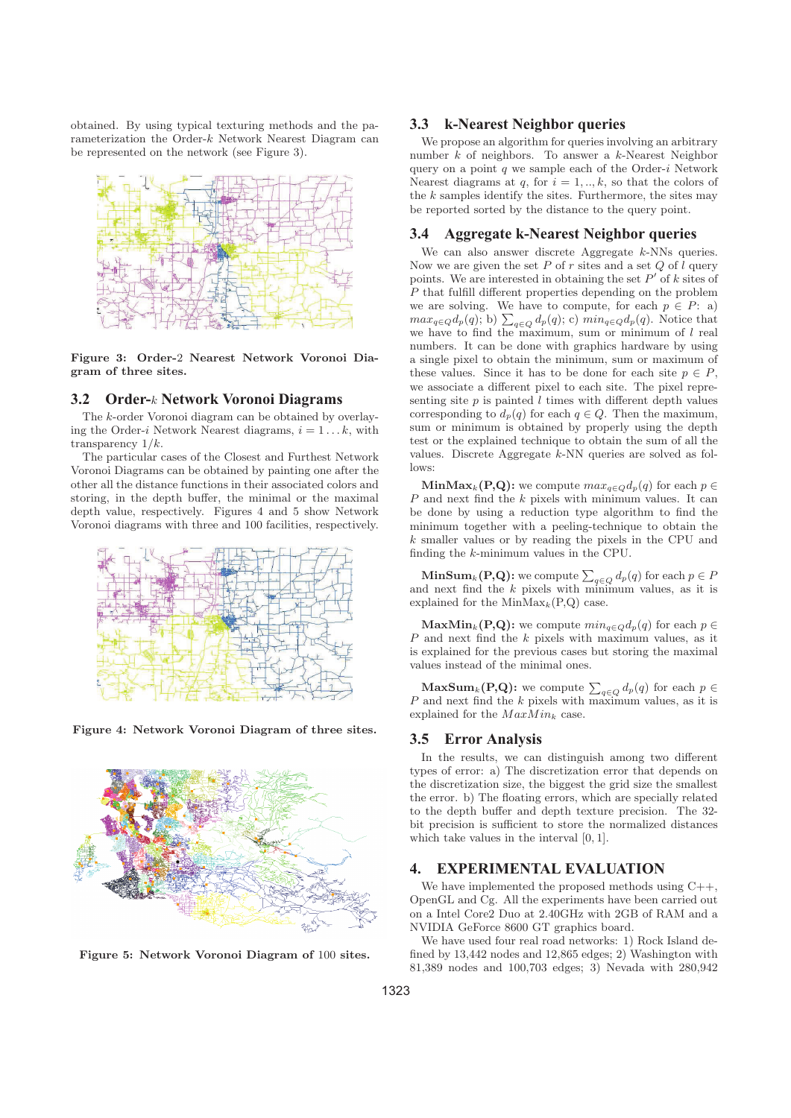obtained. By using typical texturing methods and the parameterization the Order-k Network Nearest Diagram can be represented on the network (see Figure 3).



Figure 3: Order-2 Nearest Network Voronoi Diagram of three sites.

# **3.2 Order-**k **Network Voronoi Diagrams**

The k-order Voronoi diagram can be obtained by overlaying the Order-i Network Nearest diagrams,  $i = 1...k$ , with transparency 1/k.

The particular cases of the Closest and Furthest Network Voronoi Diagrams can be obtained by painting one after the other all the distance functions in their associated colors and storing, in the depth buffer, the minimal or the maximal depth value, respectively. Figures 4 and 5 show Network Voronoi diagrams with three and 100 facilities, respectively.



Figure 4: Network Voronoi Diagram of three sites.



Figure 5: Network Voronoi Diagram of 100 sites.

#### **3.3 k-Nearest Neighbor queries**

We propose an algorithm for queries involving an arbitrary number  $k$  of neighbors. To answer a  $k$ -Nearest Neighbor query on a point  $q$  we sample each of the Order-i Network Nearest diagrams at q, for  $i = 1, \ldots, k$ , so that the colors of the  $k$  samples identify the sites. Furthermore, the sites may be reported sorted by the distance to the query point.

#### **3.4 Aggregate k-Nearest Neighbor queries**

We can also answer discrete Aggregate k-NNs queries. Now we are given the set P of r sites and a set Q of  $\overline{l}$  query points. We are interested in obtaining the set  $P'$  of  $k$  sites of P that fulfill different properties depending on the problem we are solving. We have to compute, for each  $p \in P$ : a)  $max_{q \in Q} d_p(q)$ ; b)  $\sum_{q \in Q} d_p(q)$ ; c)  $min_{q \in Q} d_p(q)$ . Notice that we have to find the maximum, sum or minimum of  $l$  real numbers. It can be done with graphics hardware by using a single pixel to obtain the minimum, sum or maximum of these values. Since it has to be done for each site  $p \in P$ . we associate a different pixel to each site. The pixel representing site  $p$  is painted  $l$  times with different depth values corresponding to  $d_p(q)$  for each  $q \in Q$ . Then the maximum, sum or minimum is obtained by properly using the depth test or the explained technique to obtain the sum of all the values. Discrete Aggregate k-NN queries are solved as follows:

**MinMax**<sub>k</sub>(P,Q): we compute  $max_{q \in Q} d_p(q)$  for each  $p \in$  $P$  and next find the  $k$  pixels with minimum values. It can be done by using a reduction type algorithm to find the minimum together with a peeling-technique to obtain the k smaller values or by reading the pixels in the CPU and finding the k-minimum values in the CPU.

 $\mathbf{MinSum}_k(\mathbf{P},\mathbf{Q})$ : we compute  $\sum_{q\in Q} d_p(q)$  for each  $p\in P$ and next find the k pixels with minimum values, as it is explained for the  $MinMax_k(P,Q)$  case.

 $\text{MaxMin}_k(P,Q)$ : we compute  $\min_{q \in Q} d_p(q)$  for each  $p \in$  $P$  and next find the  $k$  pixels with maximum values, as it is explained for the previous cases but storing the maximal values instead of the minimal ones.

 $\mathbf{MaxSum}_k(\mathbf{P}, \mathbf{Q})$ : we compute  $\sum_{q \in Q} d_p(q)$  for each  $p \in$  $P$  and next find the  $k$  pixels with maximum values, as it is explained for the  $MaxMin_k$  case.

#### **3.5 Error Analysis**

In the results, we can distinguish among two different types of error: a) The discretization error that depends on the discretization size, the biggest the grid size the smallest the error. b) The floating errors, which are specially related to the depth buffer and depth texture precision. The 32 bit precision is sufficient to store the normalized distances which take values in the interval [0, 1].

# **4. EXPERIMENTAL EVALUATION**

We have implemented the proposed methods using C++, OpenGL and Cg. All the experiments have been carried out on a Intel Core2 Duo at 2.40GHz with 2GB of RAM and a NVIDIA GeForce 8600 GT graphics board.

We have used four real road networks: 1) Rock Island defined by 13,442 nodes and 12,865 edges; 2) Washington with 81,389 nodes and 100,703 edges; 3) Nevada with 280,942